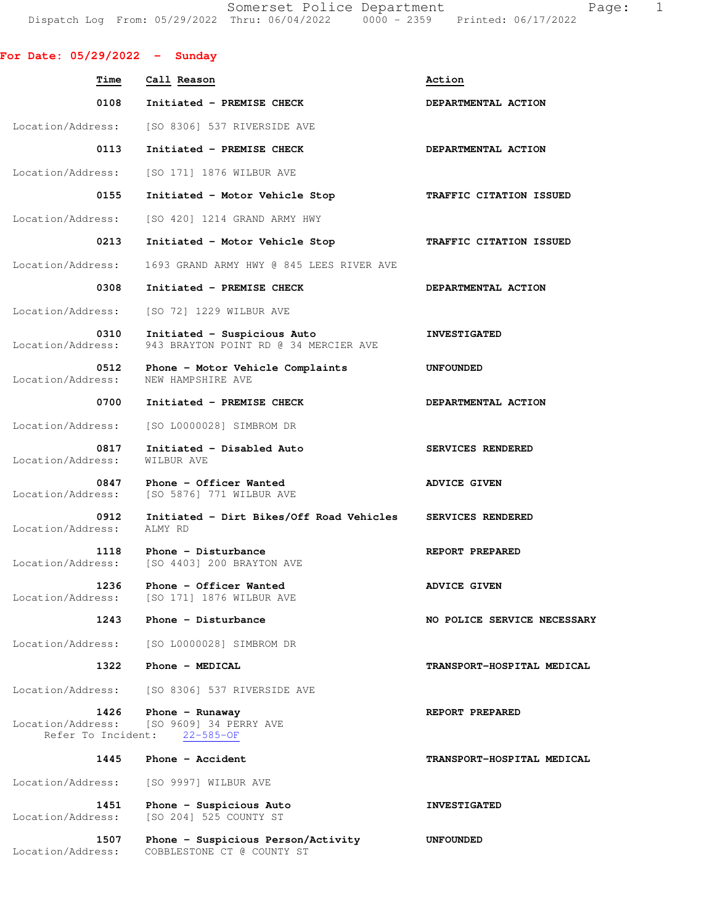Somerset Police Department Fage: 1 Dispatch Log From: 05/29/2022 Thru: 06/04/2022 0000 - 2359 Printed: 06/17/2022

| For Date: $05/29/2022 -$ Sunday |                                                                                               |                             |
|---------------------------------|-----------------------------------------------------------------------------------------------|-----------------------------|
| <b>Time</b>                     | Call Reason                                                                                   | Action                      |
| 0108                            | Initiated - PREMISE CHECK                                                                     | DEPARTMENTAL ACTION         |
|                                 | Location/Address: [SO 8306] 537 RIVERSIDE AVE                                                 |                             |
| 0113                            | Initiated - PREMISE CHECK                                                                     | DEPARTMENTAL ACTION         |
| Location/Address:               | [SO 171] 1876 WILBUR AVE                                                                      |                             |
| 0155                            | Initiated - Motor Vehicle Stop                                                                | TRAFFIC CITATION ISSUED     |
| Location/Address:               | [SO 420] 1214 GRAND ARMY HWY                                                                  |                             |
| 0213                            | Initiated - Motor Vehicle Stop                                                                | TRAFFIC CITATION ISSUED     |
| Location/Address:               | 1693 GRAND ARMY HWY @ 845 LEES RIVER AVE                                                      |                             |
| 0308                            | Initiated - PREMISE CHECK                                                                     | DEPARTMENTAL ACTION         |
| Location/Address:               | [SO 72] 1229 WILBUR AVE                                                                       |                             |
| 0310<br>Location/Address:       | Initiated - Suspicious Auto<br>943 BRAYTON POINT RD @ 34 MERCIER AVE                          | <b>INVESTIGATED</b>         |
| 0512<br>Location/Address:       | Phone - Motor Vehicle Complaints<br>NEW HAMPSHIRE AVE                                         | UNFOUNDED                   |
| 0700                            | Initiated - PREMISE CHECK                                                                     | DEPARTMENTAL ACTION         |
| Location/Address:               | [SO L0000028] SIMBROM DR                                                                      |                             |
| 0817<br>Location/Address:       | Initiated - Disabled Auto<br>WILBUR AVE                                                       | SERVICES RENDERED           |
| 0847                            | Phone - Officer Wanted<br>Location/Address: [SO 5876] 771 WILBUR AVE                          | <b>ADVICE GIVEN</b>         |
| 0912<br>Location/Address:       | Initiated - Dirt Bikes/Off Road Vehicles SERVICES RENDERED<br>ALMY RD                         |                             |
| 1118<br>Location/Address:       | Phone - Disturbance<br>[SO 4403] 200 BRAYTON AVE                                              | REPORT PREPARED             |
| 1236<br>Location/Address:       | Phone - Officer Wanted<br>[SO 171] 1876 WILBUR AVE                                            | <b>ADVICE GIVEN</b>         |
| 1243                            | Phone - Disturbance                                                                           | NO POLICE SERVICE NECESSARY |
| Location/Address:               | [SO L0000028] SIMBROM DR                                                                      |                             |
| 1322                            | Phone - MEDICAL                                                                               | TRANSPORT-HOSPITAL MEDICAL  |
| Location/Address:               | [SO 8306] 537 RIVERSIDE AVE                                                                   |                             |
| 1426                            | Phone $-$ Runaway<br>Location/Address: [SO 9609] 34 PERRY AVE<br>Refer To Incident: 22-585-OF | REPORT PREPARED             |
| 1445                            | Phone - Accident                                                                              | TRANSPORT-HOSPITAL MEDICAL  |
| Location/Address:               | [SO 9997] WILBUR AVE                                                                          |                             |
| 1451<br>Location/Address:       | Phone - Suspicious Auto<br>[SO 204] 525 COUNTY ST                                             | <b>INVESTIGATED</b>         |
| 1507<br>Location/Address:       | Phone - Suspicious Person/Activity<br>COBBLESTONE CT @ COUNTY ST                              | <b>UNFOUNDED</b>            |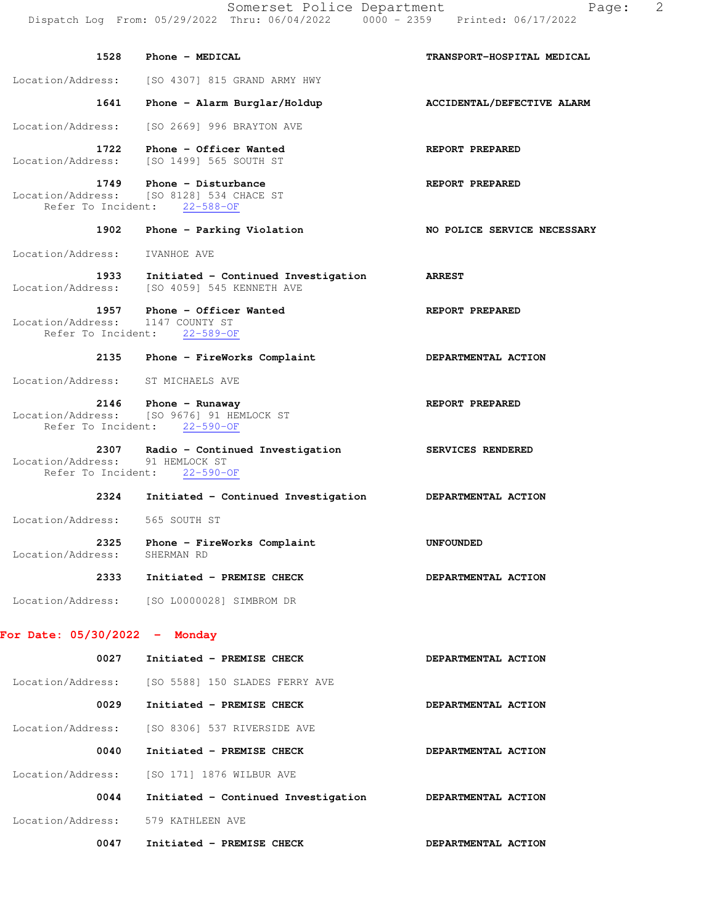| 1528                                    | Phone - MEDICAL                                                                                 | TRANSPORT-HOSPITAL MEDICAL  |
|-----------------------------------------|-------------------------------------------------------------------------------------------------|-----------------------------|
| Location/Address:                       | [SO 4307] 815 GRAND ARMY HWY                                                                    |                             |
| 1641                                    | Phone - Alarm Burglar/Holdup                                                                    | ACCIDENTAL/DEFECTIVE ALARM  |
| Location/Address:                       | [SO 2669] 996 BRAYTON AVE                                                                       |                             |
| 1722                                    | Phone - Officer Wanted<br>Location/Address: [SO 1499] 565 SOUTH ST                              | REPORT PREPARED             |
| 1749                                    | Phone - Disturbance<br>Location/Address: [SO 8128] 534 CHACE ST<br>Refer To Incident: 22-588-OF | REPORT PREPARED             |
| 1902                                    | Phone - Parking Violation                                                                       | NO POLICE SERVICE NECESSARY |
| Location/Address:                       | IVANHOE AVE                                                                                     |                             |
| 1933                                    | Initiated - Continued Investigation<br>Location/Address: [SO 4059] 545 KENNETH AVE              | <b>ARREST</b>               |
| 1957 - 19                               | Phone - Officer Wanted                                                                          | REPORT PREPARED             |
| Location/Address: 1147 COUNTY ST        | Refer To Incident: 22-589-OF                                                                    |                             |
|                                         | 2135 Phone - FireWorks Complaint                                                                | DEPARTMENTAL ACTION         |
| Location/Address: ST MICHAELS AVE       |                                                                                                 |                             |
| 2146                                    | Phone - Runaway<br>Location/Address: [SO 9676] 91 HEMLOCK ST<br>Refer To Incident: 22-590-OF    | REPORT PREPARED             |
| 2307<br>Location/Address: 91 HEMLOCK ST | Radio - Continued Investigation<br>Refer To Incident: 22-590-OF                                 | <b>SERVICES RENDERED</b>    |
| 2324                                    | Initiated - Continued Investigation                                                             | <b>DEPARTMENTAL ACTION</b>  |
| Location/Address:                       | 565 SOUTH ST                                                                                    |                             |
| 2325<br>Location/Address:               | Phone - FireWorks Complaint<br>SHERMAN RD                                                       | <b>UNFOUNDED</b>            |
| 2333                                    | Initiated - PREMISE CHECK                                                                       | DEPARTMENTAL ACTION         |
|                                         | Location/Address: [SO L0000028] SIMBROM DR                                                      |                             |
| For Date: $05/30/2022 -$ Monday         |                                                                                                 |                             |
| 0027                                    | Initiated - PREMISE CHECK                                                                       | DEPARTMENTAL ACTION         |
|                                         | Location/Address: [SO 5588] 150 SLADES FERRY AVE                                                |                             |
| 0029                                    | Initiated - PREMISE CHECK                                                                       | DEPARTMENTAL ACTION         |
|                                         | Location/Address: [SO 8306] 537 RIVERSIDE AVE                                                   |                             |
| 0040                                    | Initiated - PREMISE CHECK                                                                       | DEPARTMENTAL ACTION         |
| Location/Address:                       | [SO 171] 1876 WILBUR AVE                                                                        |                             |
| 0044                                    | Initiated - Continued Investigation                                                             | <b>DEPARTMENTAL ACTION</b>  |
| Location/Address:                       | 579 KATHLEEN AVE                                                                                |                             |
| 0047                                    | Initiated - PREMISE CHECK                                                                       | DEPARTMENTAL ACTION         |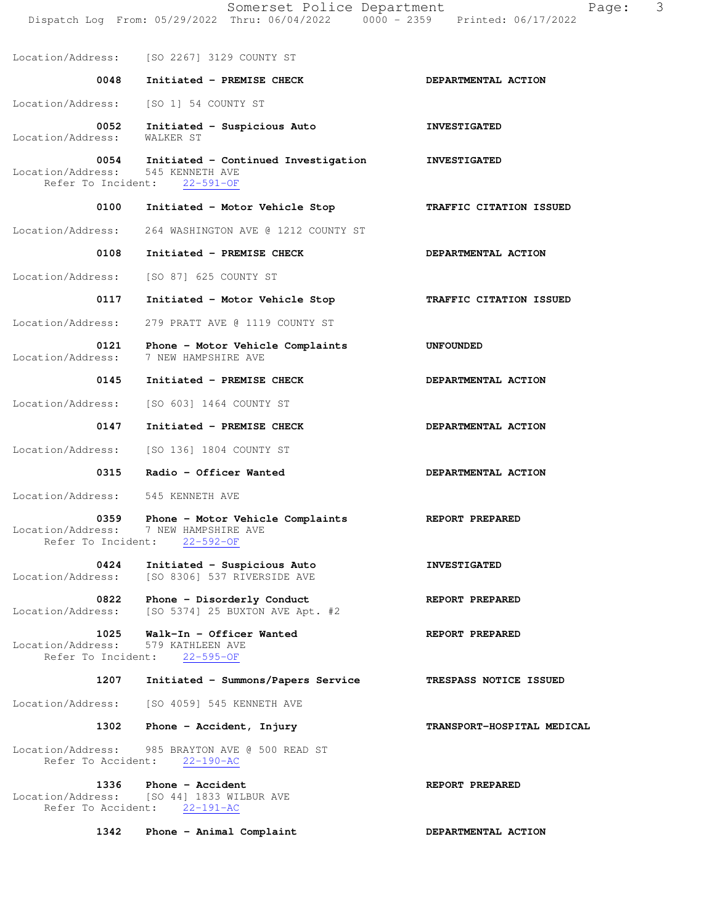|                                                 | Somerset Police Department<br>Dispatch Log From: 05/29/2022 Thru: 06/04/2022 0000 - 2359 Printed: 06/17/2022 | 3<br>Page:                 |
|-------------------------------------------------|--------------------------------------------------------------------------------------------------------------|----------------------------|
|                                                 | Location/Address: [SO 2267] 3129 COUNTY ST                                                                   |                            |
| 0048                                            | Initiated - PREMISE CHECK                                                                                    | DEPARTMENTAL ACTION        |
| Location/Address:                               | [SO 1] 54 COUNTY ST                                                                                          |                            |
| 0052<br>Location/Address:                       | Initiated - Suspicious Auto<br>WALKER ST                                                                     | <b>INVESTIGATED</b>        |
| 0054<br>Location/Address:<br>Refer To Incident: | Initiated - Continued Investigation MINVESTIGATED<br>545 KENNETH AVE<br>$22 - 591 - OF$                      |                            |
| 0100                                            | Initiated - Motor Vehicle Stop                                                                               | TRAFFIC CITATION ISSUED    |
| Location/Address:                               | 264 WASHINGTON AVE @ 1212 COUNTY ST                                                                          |                            |
| 0108                                            | Initiated - PREMISE CHECK                                                                                    | DEPARTMENTAL ACTION        |
| Location/Address:                               | [SO 87] 625 COUNTY ST                                                                                        |                            |
| 0117                                            | Initiated - Motor Vehicle Stop                                                                               | TRAFFIC CITATION ISSUED    |
| Location/Address:                               | 279 PRATT AVE @ 1119 COUNTY ST                                                                               |                            |
| 0121<br>Location/Address:                       | Phone - Motor Vehicle Complaints<br>7 NEW HAMPSHIRE AVE                                                      | UNFOUNDED                  |
| 0145                                            | Initiated - PREMISE CHECK                                                                                    | DEPARTMENTAL ACTION        |
| Location/Address:                               | [SO 603] 1464 COUNTY ST                                                                                      |                            |
| 0147                                            | Initiated - PREMISE CHECK                                                                                    | DEPARTMENTAL ACTION        |
| Location/Address:                               | [SO 136] 1804 COUNTY ST                                                                                      |                            |
| 0315                                            | Radio - Officer Wanted                                                                                       | DEPARTMENTAL ACTION        |
| Location/Address:                               | 545 KENNETH AVE                                                                                              |                            |
| 0359<br>Location/Address:<br>Refer To Incident: | Phone - Motor Vehicle Complaints<br>7 NEW HAMPSHIRE AVE<br>$22 - 592 - 0F$                                   | REPORT PREPARED            |
| 0424<br>Location/Address:                       | Initiated - Suspicious Auto<br>[SO 8306] 537 RIVERSIDE AVE                                                   | <b>INVESTIGATED</b>        |
| 0822<br>Location/Address:                       | Phone - Disorderly Conduct<br>[SO 5374] 25 BUXTON AVE Apt. #2                                                | REPORT PREPARED            |
| 1025<br>Location/Address:<br>Refer To Incident: | Walk-In - Officer Wanted<br>579 KATHLEEN AVE<br>$22 - 595 - OF$                                              | REPORT PREPARED            |
| 1207                                            | Initiated - Summons/Papers Service                                                                           | TRESPASS NOTICE ISSUED     |
| Location/Address:                               | [SO 4059] 545 KENNETH AVE                                                                                    |                            |
| 1302                                            | Phone - Accident, Injury                                                                                     | TRANSPORT-HOSPITAL MEDICAL |
| Location/Address:<br>Refer To Accident:         | 985 BRAYTON AVE @ 500 READ ST<br>$22 - 190 - AC$                                                             |                            |
| 1336<br>Refer To Accident:                      | Phone - Accident<br>Location/Address: [SO 44] 1833 WILBUR AVE<br>$22 - 191 - AC$                             | REPORT PREPARED            |
| 1342                                            | Phone - Animal Complaint                                                                                     | DEPARTMENTAL ACTION        |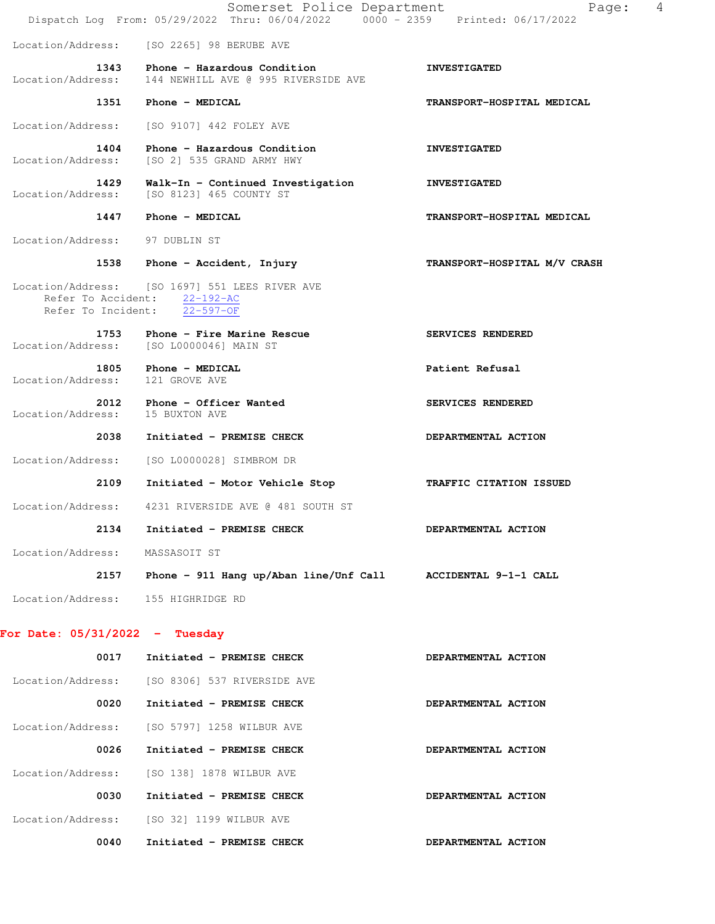|                                  | Somerset Police Department<br>Dispatch Log From: 05/29/2022 Thru: 06/04/2022 0000 - 2359 Printed: 06/17/2022   | 4<br>Page:                   |
|----------------------------------|----------------------------------------------------------------------------------------------------------------|------------------------------|
|                                  | Location/Address: [SO 2265] 98 BERUBE AVE                                                                      |                              |
| Location/Address:                | 1343 Phone - Hazardous Condition<br>144 NEWHILL AVE @ 995 RIVERSIDE AVE                                        | <b>INVESTIGATED</b>          |
|                                  | 1351 Phone - MEDICAL                                                                                           | TRANSPORT-HOSPITAL MEDICAL   |
| Location/Address:                | [SO 9107] 442 FOLEY AVE                                                                                        |                              |
| 1404<br>Location/Address:        | Phone - Hazardous Condition<br>[SO 2] 535 GRAND ARMY HWY                                                       | <b>INVESTIGATED</b>          |
| 1429<br>Location/Address:        | Walk-In - Continued Investigation<br>[SO 8123] 465 COUNTY ST                                                   | <b>INVESTIGATED</b>          |
| 1447                             | <b>Phone - MEDICAL</b>                                                                                         | TRANSPORT-HOSPITAL MEDICAL   |
| Location/Address: 97 DUBLIN ST   |                                                                                                                |                              |
|                                  | 1538 Phone - Accident, Injury                                                                                  | TRANSPORT-HOSPITAL M/V CRASH |
|                                  | Location/Address: [SO 1697] 551 LEES RIVER AVE<br>Refer To Accident: 22-192-AC<br>Refer To Incident: 22-597-OF |                              |
|                                  | 1753 Phone - Fire Marine Rescue<br>Location/Address: [SO L0000046] MAIN ST                                     | SERVICES RENDERED            |
| Location/Address:                | 1805 Phone - MEDICAL<br>121 GROVE AVE                                                                          | Patient Refusal              |
| Location/Address:                | 2012 Phone - Officer Wanted<br>15 BUXTON AVE                                                                   | SERVICES RENDERED            |
| 2038                             | Initiated - PREMISE CHECK                                                                                      | DEPARTMENTAL ACTION          |
| Location/Address:                | [SO L0000028] SIMBROM DR                                                                                       |                              |
| 2109                             | Initiated - Motor Vehicle Stop                                                                                 | TRAFFIC CITATION ISSUED      |
|                                  | Location/Address: 4231 RIVERSIDE AVE @ 481 SOUTH ST                                                            |                              |
| 2134                             | Initiated - PREMISE CHECK                                                                                      | DEPARTMENTAL ACTION          |
| Location/Address:                | MASSASOIT ST                                                                                                   |                              |
| 2157                             | Phone - 911 Hang up/Aban line/Unf Call                                                                         | ACCIDENTAL 9-1-1 CALL        |
| Location/Address:                | 155 HIGHRIDGE RD                                                                                               |                              |
| For Date: $05/31/2022 -$ Tuesday |                                                                                                                |                              |
| 0017                             | Initiated - PREMISE CHECK                                                                                      | DEPARTMENTAL ACTION          |

| Location/Address: | [SO 8306] 537 RIVERSIDE AVE |                            |
|-------------------|-----------------------------|----------------------------|
| 0020              | Initiated - PREMISE CHECK   | DEPARTMENTAL ACTION        |
| Location/Address: | [SO 5797] 1258 WILBUR AVE   |                            |
| 0026              | Initiated - PREMISE CHECK   | DEPARTMENTAL ACTION        |
| Location/Address: | [SO 138] 1878 WILBUR AVE    |                            |
| 0030              | Initiated - PREMISE CHECK   | DEPARTMENTAL ACTION        |
| Location/Address: | ISO 321 1199 WILBUR AVE     |                            |
| 0040              | Initiated - PREMISE CHECK   | <b>DEPARTMENTAL ACTION</b> |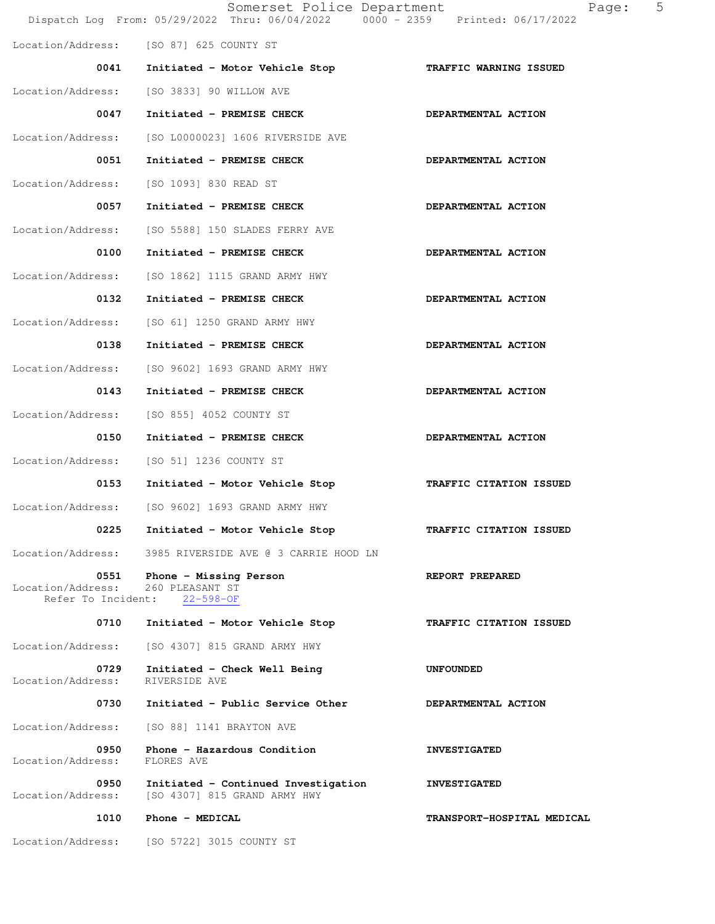|                                                 | Somerset Police Department<br>Dispatch Log From: 05/29/2022 Thru: 06/04/2022 0000 - 2359 Printed: 06/17/2022 | 5<br>Page:                 |
|-------------------------------------------------|--------------------------------------------------------------------------------------------------------------|----------------------------|
|                                                 | Location/Address: [SO 87] 625 COUNTY ST                                                                      |                            |
| 0041                                            | Initiated - Motor Vehicle Stop                                                                               | TRAFFIC WARNING ISSUED     |
| Location/Address:                               | [SO 3833] 90 WILLOW AVE                                                                                      |                            |
| 0047                                            | Initiated - PREMISE CHECK                                                                                    | DEPARTMENTAL ACTION        |
| Location/Address:                               | [SO L0000023] 1606 RIVERSIDE AVE                                                                             |                            |
| 0051                                            | Initiated - PREMISE CHECK                                                                                    | DEPARTMENTAL ACTION        |
| Location/Address:                               | [SO 1093] 830 READ ST                                                                                        |                            |
| 0057                                            | Initiated - PREMISE CHECK                                                                                    | DEPARTMENTAL ACTION        |
| Location/Address:                               | [SO 5588] 150 SLADES FERRY AVE                                                                               |                            |
| 0100                                            | Initiated - PREMISE CHECK                                                                                    | DEPARTMENTAL ACTION        |
| Location/Address:                               | [SO 1862] 1115 GRAND ARMY HWY                                                                                |                            |
| 0132                                            | Initiated - PREMISE CHECK                                                                                    | DEPARTMENTAL ACTION        |
| Location/Address:                               | [SO 61] 1250 GRAND ARMY HWY                                                                                  |                            |
| 0138                                            | Initiated - PREMISE CHECK                                                                                    | DEPARTMENTAL ACTION        |
| Location/Address:                               | [SO 9602] 1693 GRAND ARMY HWY                                                                                |                            |
| 0143                                            | Initiated - PREMISE CHECK                                                                                    | DEPARTMENTAL ACTION        |
| Location/Address:                               | [SO 855] 4052 COUNTY ST                                                                                      |                            |
| 0150                                            | Initiated - PREMISE CHECK                                                                                    | DEPARTMENTAL ACTION        |
| Location/Address:                               | [SO 51] 1236 COUNTY ST                                                                                       |                            |
| 0153                                            | Initiated - Motor Vehicle Stop                                                                               | TRAFFIC CITATION ISSUED    |
|                                                 | Location/Address: [SO 9602] 1693 GRAND ARMY HWY                                                              |                            |
| 0225                                            | Initiated - Motor Vehicle Stop                                                                               | TRAFFIC CITATION ISSUED    |
| Location/Address:                               | 3985 RIVERSIDE AVE @ 3 CARRIE HOOD LN                                                                        |                            |
| 0551<br>Location/Address:<br>Refer To Incident: | Phone - Missing Person<br>260 PLEASANT ST<br>$22 - 598 - OF$                                                 | REPORT PREPARED            |
| 0710                                            | Initiated - Motor Vehicle Stop                                                                               | TRAFFIC CITATION ISSUED    |
| Location/Address:                               | [SO 4307] 815 GRAND ARMY HWY                                                                                 |                            |
| 0729<br>Location/Address:                       | Initiated - Check Well Being<br>RIVERSIDE AVE                                                                | <b>UNFOUNDED</b>           |
| 0730                                            | Initiated - Public Service Other                                                                             | DEPARTMENTAL ACTION        |
| Location/Address:                               | [SO 88] 1141 BRAYTON AVE                                                                                     |                            |
| 0950<br>Location/Address:                       | Phone - Hazardous Condition<br>FLORES AVE                                                                    | <b>INVESTIGATED</b>        |
| 0950<br>Location/Address:                       | Initiated - Continued Investigation<br>[SO 4307] 815 GRAND ARMY HWY                                          | <b>INVESTIGATED</b>        |
| 1010                                            | Phone - MEDICAL                                                                                              | TRANSPORT-HOSPITAL MEDICAL |
| Location/Address:                               | [SO 5722] 3015 COUNTY ST                                                                                     |                            |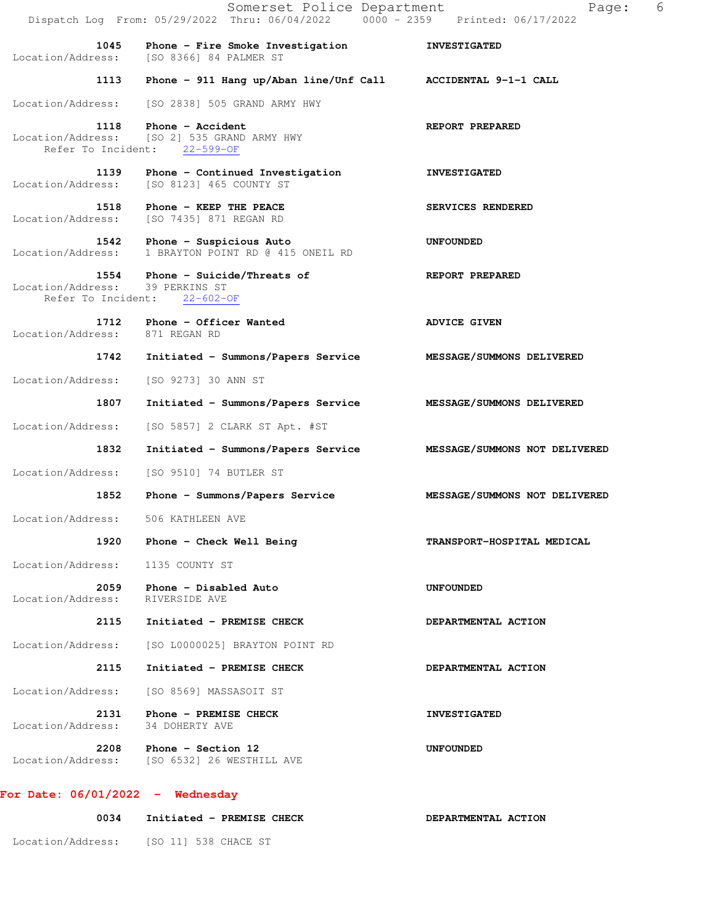|                                        | Somerset Police Department<br>Dispatch Log From: 05/29/2022 Thru: 06/04/2022 0000 - 2359 Printed: 06/17/2022 | 6<br>Page:                    |
|----------------------------------------|--------------------------------------------------------------------------------------------------------------|-------------------------------|
| 1045<br>Location/Address:              | Phone - Fire Smoke Investigation<br>[SO 8366] 84 PALMER ST                                                   | <b>INVESTIGATED</b>           |
| 1113                                   | Phone - 911 Hang up/Aban line/Unf Call ACCIDENTAL 9-1-1 CALL                                                 |                               |
| Location/Address:                      | [SO 2838] 505 GRAND ARMY HWY                                                                                 |                               |
| 1118                                   | Phone - Accident<br>Location/Address: [SO 2] 535 GRAND ARMY HWY<br>Refer To Incident: 22-599-OF              | REPORT PREPARED               |
| Location/Address:                      | 1139 Phone - Continued Investigation<br>[SO 8123] 465 COUNTY ST                                              | <b>INVESTIGATED</b>           |
| 1518<br>Location/Address:              | Phone - KEEP THE PEACE<br>[SO 7435] 871 REGAN RD                                                             | SERVICES RENDERED             |
| Location/Address:                      | 1542 Phone - Suspicious Auto<br>1 BRAYTON POINT RD @ 415 ONEIL RD                                            | UNFOUNDED                     |
| Location/Address: 39 PERKINS ST        | 1554 Phone - Suicide/Threats of<br>Refer To Incident: 22-602-OF                                              | REPORT PREPARED               |
| 1712<br>Location/Address: 871 REGAN RD | Phone - Officer Wanted                                                                                       | <b>ADVICE GIVEN</b>           |
| 1742                                   | Initiated - Summons/Papers Service                                                                           | MESSAGE/SUMMONS DELIVERED     |
| Location/Address:                      | [SO 9273] 30 ANN ST                                                                                          |                               |
| 1807                                   | Initiated - Summons/Papers Service MESSAGE/SUMMONS DELIVERED                                                 |                               |
| Location/Address:                      | [SO 5857] 2 CLARK ST Apt. #ST                                                                                |                               |
| 1832                                   | Initiated - Summons/Papers Service                                                                           | MESSAGE/SUMMONS NOT DELIVERED |
| Location/Address:                      | [SO 9510] 74 BUTLER ST                                                                                       |                               |
| 1852                                   | Phone - Summons/Papers Service                                                                               | MESSAGE/SUMMONS NOT DELIVERED |
| Location/Address:                      | 506 KATHLEEN AVE                                                                                             |                               |
| 1920                                   | Phone - Check Well Being                                                                                     | TRANSPORT-HOSPITAL MEDICAL    |
| Location/Address:                      | 1135 COUNTY ST                                                                                               |                               |
| 2059<br>Location/Address:              | Phone - Disabled Auto<br>RIVERSIDE AVE                                                                       | <b>UNFOUNDED</b>              |
| 2115                                   | Initiated - PREMISE CHECK                                                                                    | DEPARTMENTAL ACTION           |
| Location/Address:                      | [SO L0000025] BRAYTON POINT RD                                                                               |                               |
| 2115                                   | Initiated - PREMISE CHECK                                                                                    | DEPARTMENTAL ACTION           |
| Location/Address:                      | [SO 8569] MASSASOIT ST                                                                                       |                               |
| 2131<br>Location/Address:              | Phone - PREMISE CHECK<br>34 DOHERTY AVE                                                                      | <b>INVESTIGATED</b>           |
|                                        | $2208$ Phone - Section 12<br>Location/Address: [SO 6532] 26 WESTHILL AVE                                     | <b>UNFOUNDED</b>              |
| For Date: $06/01/2022 -$ Wednesday     |                                                                                                              |                               |

## 0034 Initiated - PREMISE CHECK **DEPARTMENTAL ACTION**

Location/Address: [SO 11] 538 CHACE ST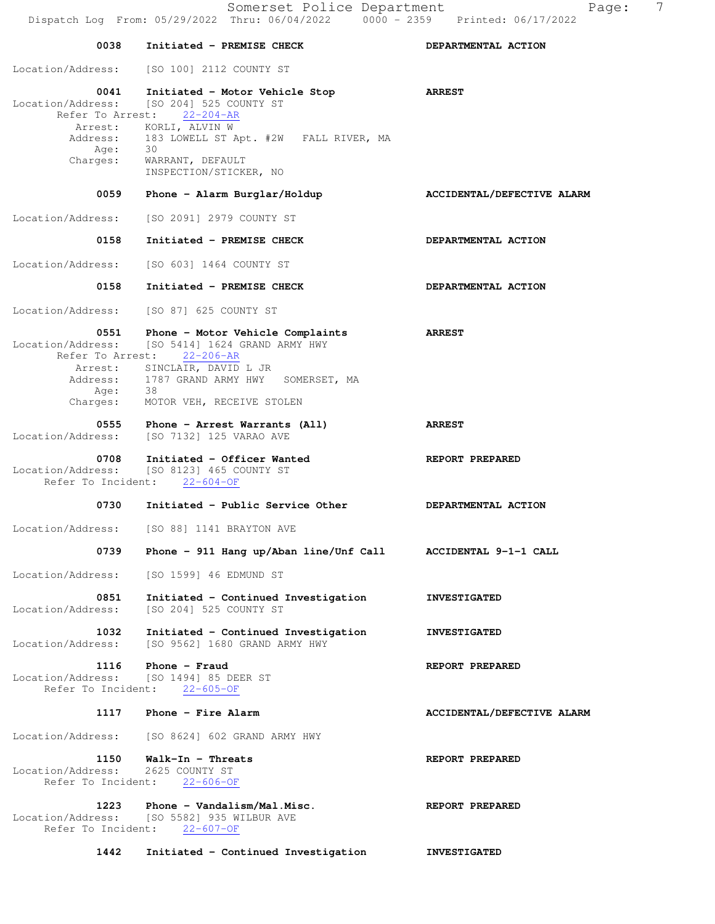Somerset Police Department Page: 7 Dispatch Log From: 05/29/2022 Thru: 06/04/2022 0000 - 2359 Printed: 06/17/2022 0038 Initiated - PREMISE CHECK **DEPARTMENTAL ACTION**  Location/Address: [SO 100] 2112 COUNTY ST  **0041 Initiated - Motor Vehicle Stop ARREST**  Location/Address: [SO 204] 525 COUNTY ST Refer To Arrest: 22-204-AR Arrest: KORLI, ALVIN W Address: 183 LOWELL ST Apt. #2W FALL RIVER, MA<br>Age: 30 Age:<br>:Charges WARRANT, DEFAULT INSPECTION/STICKER, NO 0059 Phone - Alarm Burglar/Holdup **ACCIDENTAL/DEFECTIVE ALARM**  Location/Address: [SO 2091] 2979 COUNTY ST 0158 Initiated - PREMISE CHECK **DEPARTMENTAL ACTION**  Location/Address: [SO 603] 1464 COUNTY ST 0158 Initiated - PREMISE CHECK **DEPARTMENTAL ACTION** Location/Address: [SO 87] 625 COUNTY ST  **0551 Phone - Motor Vehicle Complaints ARREST**  Location/Address: [SO 5414] 1624 GRAND ARMY HWY Refer To Arrest: 22-206-AR Arrest: SINCLAIR, DAVID L JR Address: 1787 GRAND ARMY HWY SOMERSET, MA Age: 38 Charges: MOTOR VEH, RECEIVE STOLEN  **0555 Phone - Arrest Warrants (All) ARREST**  Location/Address: [SO 7132] 125 VARAO AVE 0708 Initiated - Officer Wanted **REPORT PREPARED** Location/Address: [SO 8123] 465 COUNTY ST Refer To Incident: 22-604-OF 0730 Initiated - Public Service Other **DEPARTMENTAL ACTION**  Location/Address: [SO 88] 1141 BRAYTON AVE  **0739 Phone - 911 Hang up/Aban line/Unf Call ACCIDENTAL 9-1-1 CALL**  Location/Address: [SO 1599] 46 EDMUND ST 0851 Initiated - Continued Investigation **INVESTIGATED**  Location/Address: [SO 204] 525 COUNTY ST  **1032 Initiated - Continued Investigation INVESTIGATED**  Location/Address: [SO 9562] 1680 GRAND ARMY HWY 1116 Phone - Fraud **REPORT PREPARED** Location/Address: [SO 1494] 85 DEER ST Refer To Incident: 22-605-OF 1117 Phone - Fire Alarm **ACCIDENTAL/DEFECTIVE ALARM** Location/Address: [SO 8624] 602 GRAND ARMY HWY 1150 Walk-In - Threats **REPORT PREPARED**  Location/Address: 2625 COUNTY ST Refer To Incident: 22-606-OF 1223 Phone - Vandalism/Mal.Misc. REPORT PREPARED Location/Address: [SO 5582] 935 WILBUR AVE Refer To Incident: 22-607-OF

 **1442 Initiated - Continued Investigation INVESTIGATED**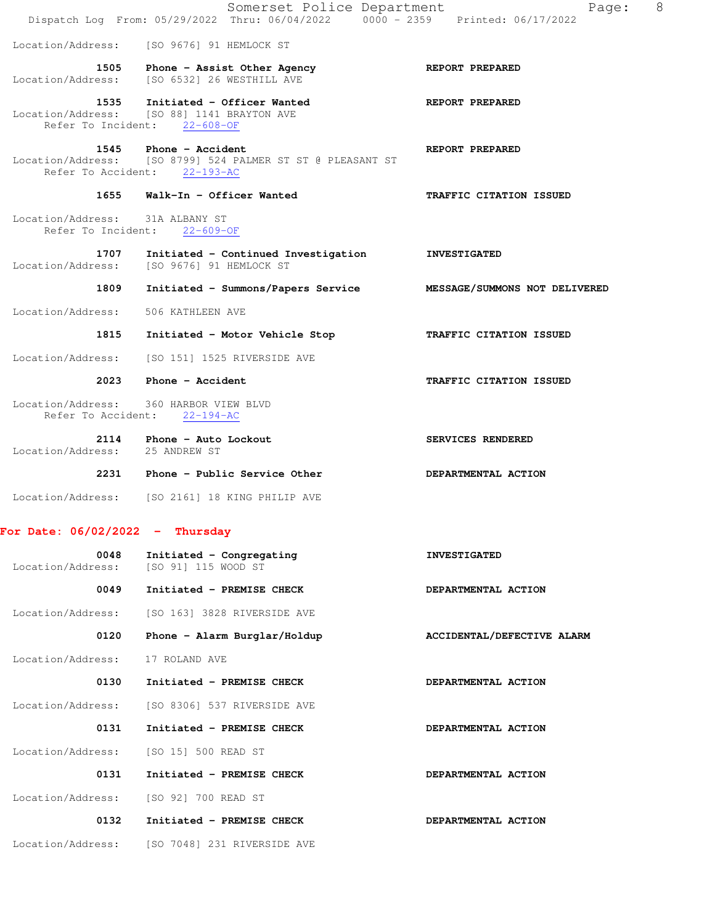|                                                       | Somerset Police Department<br>Dispatch Log From: 05/29/2022 Thru: 06/04/2022 0000 - 2359 Printed: 06/17/2022        | 8<br>Page:                    |
|-------------------------------------------------------|---------------------------------------------------------------------------------------------------------------------|-------------------------------|
|                                                       | Location/Address: [SO 9676] 91 HEMLOCK ST                                                                           |                               |
|                                                       | 1505 Phone - Assist Other Agency                                                                                    | <b>REPORT PREPARED</b>        |
|                                                       | Location/Address: [SO 6532] 26 WESTHILL AVE                                                                         |                               |
|                                                       | 1535 Initiated - Officer Wanted<br>Location/Address: [SO 88] 1141 BRAYTON AVE<br>Refer To Incident: 22-608-OF       | REPORT PREPARED               |
|                                                       | 1545 Phone - Accident<br>Location/Address: [SO 8799] 524 PALMER ST ST @ PLEASANT ST<br>Refer To Accident: 22-193-AC | REPORT PREPARED               |
| 1655                                                  | Walk-In - Officer Wanted                                                                                            | TRAFFIC CITATION ISSUED       |
| Location/Address: 31A ALBANY ST<br>Refer To Incident: | $22 - 609 - OF$                                                                                                     |                               |
| 1707<br>Location/Address:                             | Initiated - Continued Investigation<br>[SO 9676] 91 HEMLOCK ST                                                      | <b>INVESTIGATED</b>           |
| 1809                                                  | Initiated - Summons/Papers Service                                                                                  | MESSAGE/SUMMONS NOT DELIVERED |
| Location/Address:                                     | 506 KATHLEEN AVE                                                                                                    |                               |
| 1815                                                  | Initiated - Motor Vehicle Stop                                                                                      | TRAFFIC CITATION ISSUED       |
| Location/Address:                                     | [SO 151] 1525 RIVERSIDE AVE                                                                                         |                               |
| 2023                                                  | Phone - Accident                                                                                                    | TRAFFIC CITATION ISSUED       |
|                                                       | Location/Address: 360 HARBOR VIEW BLVD<br>Refer To Accident: 22-194-AC                                              |                               |
| Location/Address: 25 ANDREW ST                        | 2114 Phone - Auto Lockout                                                                                           | SERVICES RENDERED             |
|                                                       | 2231 Phone - Public Service Other                                                                                   | DEPARTMENTAL ACTION           |
|                                                       | Location/Address: [SO 2161] 18 KING PHILIP AVE                                                                      |                               |
| For Date: $06/02/2022 - Thursday$                     |                                                                                                                     |                               |
| 0048<br>Location/Address:                             | Initiated - Congregating<br>[SO 91] 115 WOOD ST                                                                     | <b>INVESTIGATED</b>           |
| 0049                                                  | Initiated - PREMISE CHECK                                                                                           | DEPARTMENTAL ACTION           |
| Location/Address:                                     | [SO 163] 3828 RIVERSIDE AVE                                                                                         |                               |
| 0120                                                  | Phone - Alarm Burglar/Holdup                                                                                        | ACCIDENTAL/DEFECTIVE ALARM    |
| Location/Address:                                     | 17 ROLAND AVE                                                                                                       |                               |
| 0130                                                  | Initiated - PREMISE CHECK                                                                                           | DEPARTMENTAL ACTION           |
| Location/Address:                                     | [SO 8306] 537 RIVERSIDE AVE                                                                                         |                               |
| 0131                                                  | Initiated - PREMISE CHECK                                                                                           | DEPARTMENTAL ACTION           |
| Location/Address:                                     | [SO 15] 500 READ ST                                                                                                 |                               |
| 0131                                                  | Initiated - PREMISE CHECK                                                                                           | DEPARTMENTAL ACTION           |
| Location/Address:                                     | [SO 92] 700 READ ST                                                                                                 |                               |
| 0132                                                  | Initiated - PREMISE CHECK                                                                                           | DEPARTMENTAL ACTION           |
| Location/Address:                                     | [SO 7048] 231 RIVERSIDE AVE                                                                                         |                               |
|                                                       |                                                                                                                     |                               |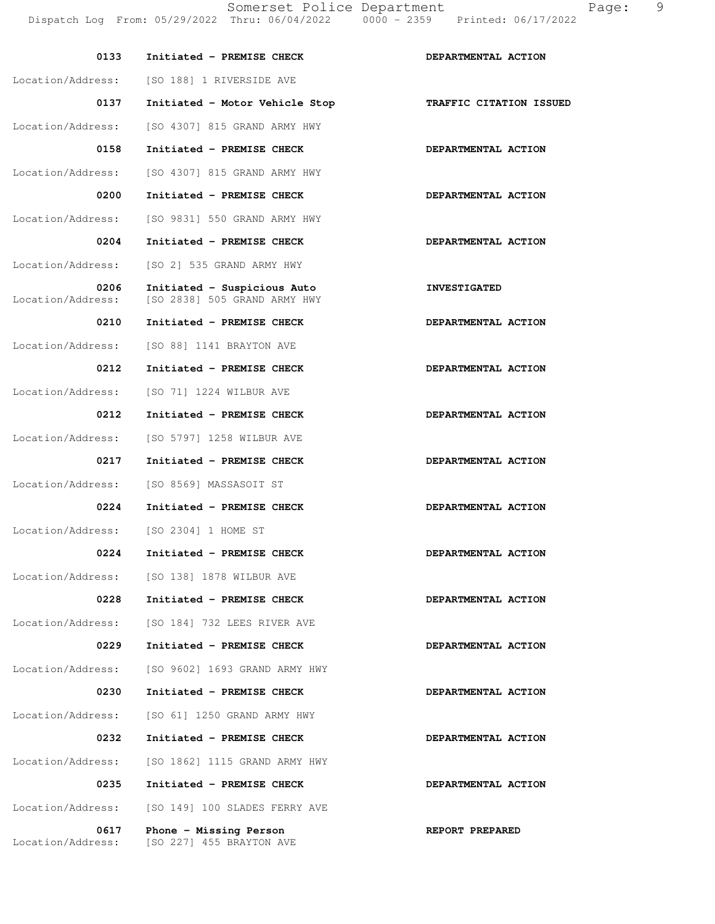| 0133                      | Initiated - PREMISE CHECK                                   | DEPARTMENTAL ACTION     |
|---------------------------|-------------------------------------------------------------|-------------------------|
| Location/Address:         | [SO 188] 1 RIVERSIDE AVE                                    |                         |
| 0137                      | Initiated - Motor Vehicle Stop                              | TRAFFIC CITATION ISSUED |
| Location/Address:         | [SO 4307] 815 GRAND ARMY HWY                                |                         |
| 0158                      | Initiated - PREMISE CHECK                                   | DEPARTMENTAL ACTION     |
| Location/Address:         | [SO 4307] 815 GRAND ARMY HWY                                |                         |
| 0200                      | Initiated - PREMISE CHECK                                   | DEPARTMENTAL ACTION     |
| Location/Address:         | [SO 9831] 550 GRAND ARMY HWY                                |                         |
| 0204                      | Initiated - PREMISE CHECK                                   | DEPARTMENTAL ACTION     |
| Location/Address:         | [SO 2] 535 GRAND ARMY HWY                                   |                         |
| 0206<br>Location/Address: | Initiated - Suspicious Auto<br>[SO 2838] 505 GRAND ARMY HWY | <b>INVESTIGATED</b>     |
| 0210                      | Initiated - PREMISE CHECK                                   | DEPARTMENTAL ACTION     |
| Location/Address:         | [SO 88] 1141 BRAYTON AVE                                    |                         |
| 0212                      | Initiated - PREMISE CHECK                                   | DEPARTMENTAL ACTION     |
| Location/Address:         | [SO 71] 1224 WILBUR AVE                                     |                         |
| 0212                      | Initiated - PREMISE CHECK                                   | DEPARTMENTAL ACTION     |
| Location/Address:         | [SO 5797] 1258 WILBUR AVE                                   |                         |
| 0217                      | Initiated - PREMISE CHECK                                   | DEPARTMENTAL ACTION     |
| Location/Address:         | [SO 8569] MASSASOIT ST                                      |                         |
| 0224                      | Initiated - PREMISE CHECK                                   | DEPARTMENTAL ACTION     |
| Location/Address:         | [SO 2304] 1 HOME ST                                         |                         |
| 0224                      | Initiated - PREMISE CHECK                                   | DEPARTMENTAL ACTION     |
| Location/Address:         | [SO 138] 1878 WILBUR AVE                                    |                         |
| 0228                      | Initiated - PREMISE CHECK                                   | DEPARTMENTAL ACTION     |
| Location/Address:         | [SO 184] 732 LEES RIVER AVE                                 |                         |
| 0229                      | Initiated - PREMISE CHECK                                   | DEPARTMENTAL ACTION     |
| Location/Address:         | [SO 9602] 1693 GRAND ARMY HWY                               |                         |
| 0230                      | Initiated - PREMISE CHECK                                   | DEPARTMENTAL ACTION     |
| Location/Address:         | [SO 61] 1250 GRAND ARMY HWY                                 |                         |
| 0232                      | Initiated - PREMISE CHECK                                   | DEPARTMENTAL ACTION     |
| Location/Address:         | [SO 1862] 1115 GRAND ARMY HWY                               |                         |
| 0235                      | Initiated - PREMISE CHECK                                   | DEPARTMENTAL ACTION     |
| Location/Address:         | [SO 149] 100 SLADES FERRY AVE                               |                         |
| 0617<br>Location/Address: | Phone - Missing Person<br>[SO 227] 455 BRAYTON AVE          | REPORT PREPARED         |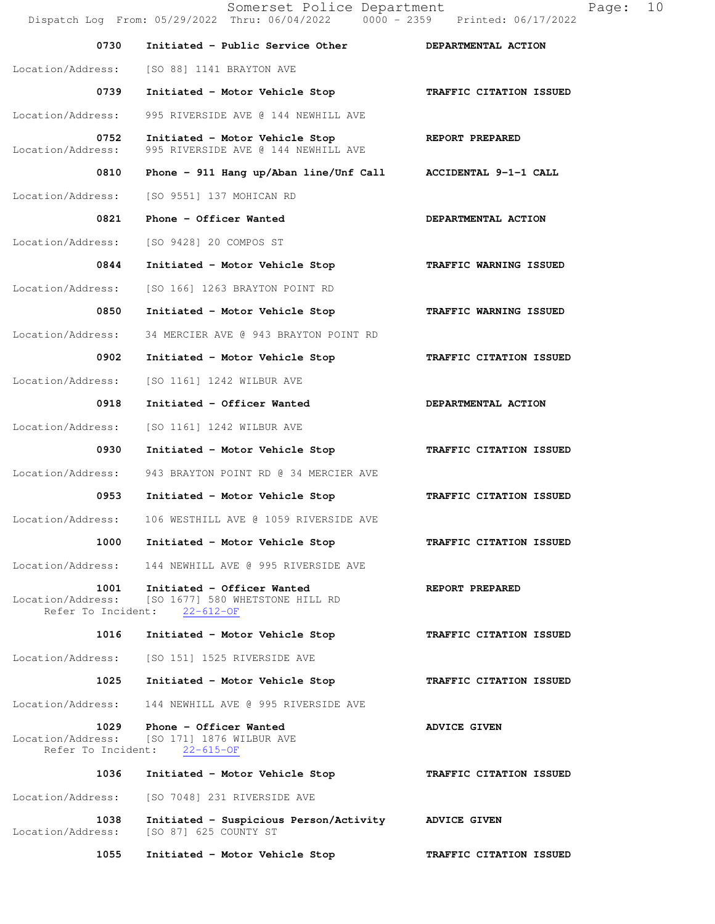Somerset Police Department Page: 10 Dispatch Log From: 05/29/2022 Thru: 06/04/2022 0000 - 2359 Printed: 06/17/2022 0730 Initiated - Public Service Other **DEPARTMENTAL ACTION**  Location/Address: [SO 88] 1141 BRAYTON AVE  **0739 Initiated - Motor Vehicle Stop TRAFFIC CITATION ISSUED**  Location/Address: 995 RIVERSIDE AVE @ 144 NEWHILL AVE 0752 Initiated - Motor Vehicle Stop **REPORT PREPARED**  Location/Address: 995 RIVERSIDE AVE @ 144 NEWHILL AVE  **0810 Phone - 911 Hang up/Aban line/Unf Call ACCIDENTAL 9-1-1 CALL**  Location/Address: [SO 9551] 137 MOHICAN RD 0821 Phone - Officer Wanted **DEPARTMENTAL ACTION** Location/Address: [SO 9428] 20 COMPOS ST 0844 Initiated - Motor Vehicle Stop **TRAFFIC WARNING ISSUED**  Location/Address: [SO 166] 1263 BRAYTON POINT RD  **0850 Initiated - Motor Vehicle Stop TRAFFIC WARNING ISSUED**  Location/Address: 34 MERCIER AVE @ 943 BRAYTON POINT RD  **0902 Initiated - Motor Vehicle Stop TRAFFIC CITATION ISSUED**  Location/Address: [SO 1161] 1242 WILBUR AVE 0918 Initiated - Officer Wanted **DEPARTMENTAL ACTION**  Location/Address: [SO 1161] 1242 WILBUR AVE  **0930 Initiated - Motor Vehicle Stop TRAFFIC CITATION ISSUED**  Location/Address: 943 BRAYTON POINT RD @ 34 MERCIER AVE  **0953 Initiated - Motor Vehicle Stop TRAFFIC CITATION ISSUED**  Location/Address: 106 WESTHILL AVE @ 1059 RIVERSIDE AVE  **1000 Initiated - Motor Vehicle Stop TRAFFIC CITATION ISSUED**  Location/Address: 144 NEWHILL AVE @ 995 RIVERSIDE AVE 1001 Initiated - Officer Wanted **REPORT PREPARED** Location/Address: [SO 1677] 580 WHETSTONE HILL RD Refer To Incident: 22-612-OF  **1016 Initiated - Motor Vehicle Stop TRAFFIC CITATION ISSUED**  Location/Address: [SO 151] 1525 RIVERSIDE AVE  **1025 Initiated - Motor Vehicle Stop TRAFFIC CITATION ISSUED**  Location/Address: 144 NEWHILL AVE @ 995 RIVERSIDE AVE **1029 Phone - Officer Wanted Manuscript ADVICE GIVEN** Location/Address: [SO 171] 1876 WILBUR AVE  $[SO 171] 1876 WILBUR AVE  
nt:  $22-615-OF$$ Refer To Incident:  **1036 Initiated - Motor Vehicle Stop TRAFFIC CITATION ISSUED**  Location/Address: [SO 7048] 231 RIVERSIDE AVE  **1038 Initiated - Suspicious Person/Activity ADVICE GIVEN**  Location/Address: [SO 87] 625 COUNTY ST  **1055 Initiated - Motor Vehicle Stop TRAFFIC CITATION ISSUED**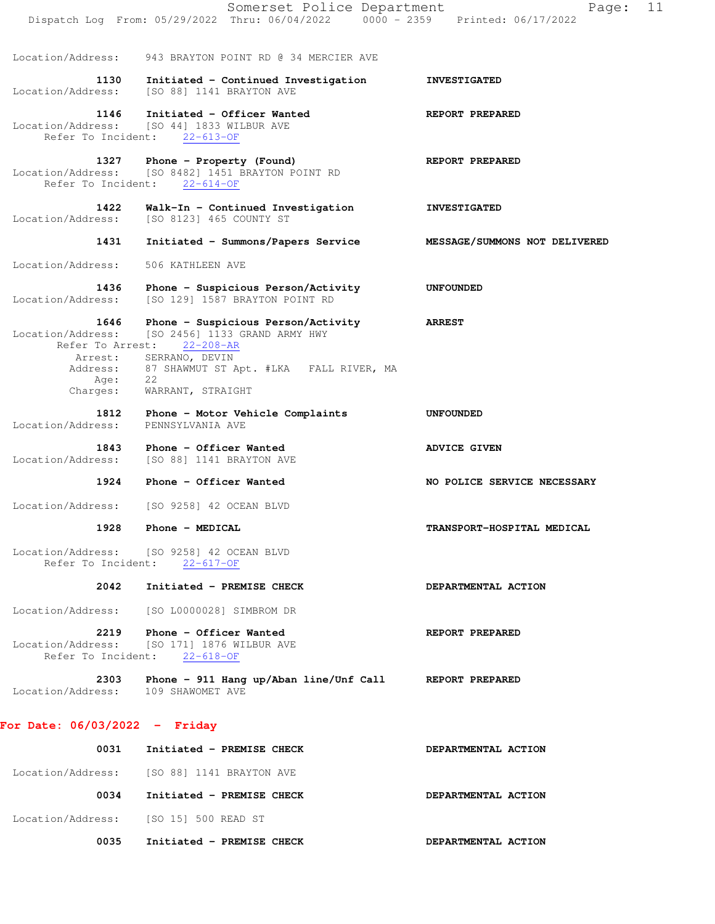|                                               | Somerset Police Department<br>Dispatch Log From: 05/29/2022 Thru: 06/04/2022                                  | Page:<br>$0000 - 2359$ Printed: $06/17/2022$ | 11 |
|-----------------------------------------------|---------------------------------------------------------------------------------------------------------------|----------------------------------------------|----|
| Location/Address:                             | 943 BRAYTON POINT RD @ 34 MERCIER AVE                                                                         |                                              |    |
| 1130<br>Location/Address:                     | Initiated - Continued Investigation<br>[SO 88] 1141 BRAYTON AVE                                               | <b>INVESTIGATED</b>                          |    |
| 1146<br>Refer To Incident:                    | Initiated - Officer Wanted<br>Location/Address: [SO 44] 1833 WILBUR AVE<br>$22 - 613 - OF$                    | REPORT PREPARED                              |    |
| 1327                                          | Phone - Property (Found)<br>Location/Address: [SO 8482] 1451 BRAYTON POINT RD<br>Refer To Incident: 22-614-OF | REPORT PREPARED                              |    |
| 1422<br>Location/Address:                     | Walk-In - Continued Investigation<br>[SO 8123] 465 COUNTY ST                                                  | <b>INVESTIGATED</b>                          |    |
| 1431                                          | Initiated - Summons/Papers Service                                                                            | MESSAGE/SUMMONS NOT DELIVERED                |    |
| Location/Address:                             | 506 KATHLEEN AVE                                                                                              |                                              |    |
| 1436<br>Location/Address:                     | Phone - Suspicious Person/Activity<br>[SO 129] 1587 BRAYTON POINT RD                                          | <b>UNFOUNDED</b>                             |    |
| 1646<br>Location/Address:<br>Refer To Arrest: | Phone - Suspicious Person/Activity<br>[SO 2456] 1133 GRAND ARMY HWY<br>$22 - 208 - AR$                        | <b>ARREST</b>                                |    |
| Arrest:<br>Address:                           | SERRANO, DEVIN<br>87 SHAWMUT ST Apt. #LKA FALL RIVER, MA                                                      |                                              |    |
| Age:<br>Charges:                              | 22<br>WARRANT, STRAIGHT                                                                                       |                                              |    |
| 1812<br>Location/Address:                     | Phone - Motor Vehicle Complaints<br>PENNSYLVANIA AVE                                                          | <b>UNFOUNDED</b>                             |    |
| 1843<br>Location/Address:                     | Phone - Officer Wanted<br>[SO 88] 1141 BRAYTON AVE                                                            | <b>ADVICE GIVEN</b>                          |    |
| 1924                                          | Phone - Officer Wanted                                                                                        | NO POLICE SERVICE NECESSARY                  |    |
| Location/Address:                             | [SO 9258] 42 OCEAN BLVD                                                                                       |                                              |    |
| 1928                                          | Phone - MEDICAL                                                                                               | TRANSPORT-HOSPITAL MEDICAL                   |    |
|                                               | Location/Address: [SO 9258] 42 OCEAN BLVD<br>Refer To Incident: 22-617-OF                                     |                                              |    |
| 2042                                          | Initiated - PREMISE CHECK                                                                                     | DEPARTMENTAL ACTION                          |    |
| Location/Address:                             | [SO L0000028] SIMBROM DR                                                                                      |                                              |    |
|                                               | 2219 Phone - Officer Wanted<br>Location/Address: [SO 171] 1876 WILBUR AVE<br>Refer To Incident: 22-618-OF     | REPORT PREPARED                              |    |
| 2303<br>Location/Address: 109 SHAWOMET AVE    | Phone - 911 Hang up/Aban line/Unf Call                                                                        | REPORT PREPARED                              |    |
| For Date: $06/03/2022 -$ Friday               |                                                                                                               |                                              |    |
| 0031                                          | Initiated - PREMISE CHECK                                                                                     | DEPARTMENTAL ACTION                          |    |
|                                               | Location/Address: [SO 88] 1141 BRAYTON AVE                                                                    |                                              |    |
| 0034                                          | Initiated - PREMISE CHECK                                                                                     | DEPARTMENTAL ACTION                          |    |

Location/Address: [SO 15] 500 READ ST

0035 Initiated - PREMISE CHECK **DEPARTMENTAL ACTION**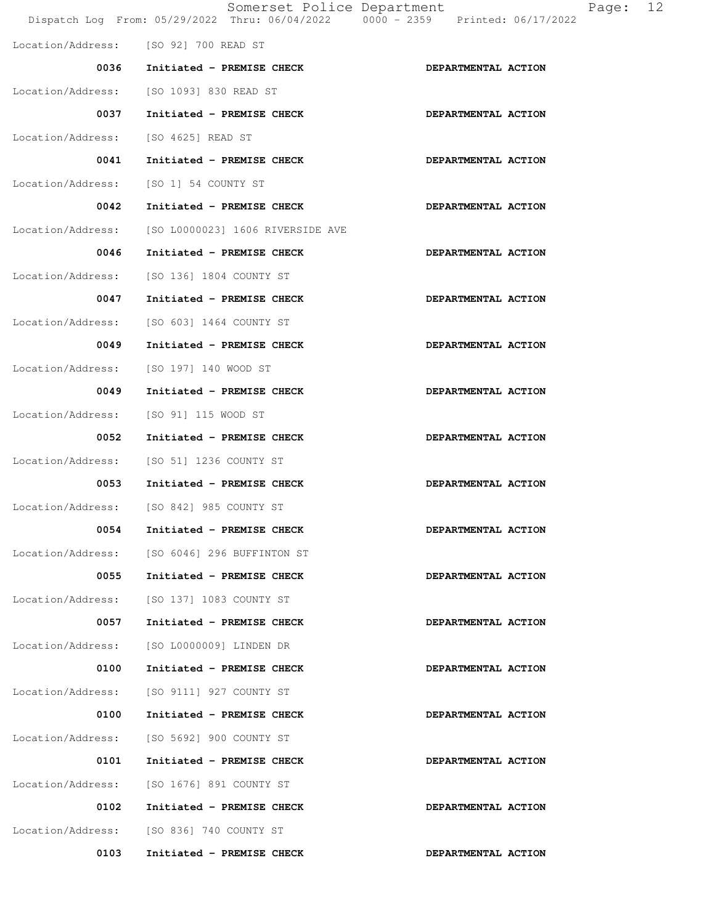|                   | Somerset Police Department               | Dispatch Log From: 05/29/2022 Thru: 06/04/2022 0000 - 2359 Printed: 06/17/2022 | Page: | 12 |
|-------------------|------------------------------------------|--------------------------------------------------------------------------------|-------|----|
|                   | Location/Address: [SO 92] 700 READ ST    |                                                                                |       |    |
| 0036              | Initiated - PREMISE CHECK                | DEPARTMENTAL ACTION                                                            |       |    |
| Location/Address: | [SO 1093] 830 READ ST                    |                                                                                |       |    |
| 0037              | Initiated - PREMISE CHECK                | DEPARTMENTAL ACTION                                                            |       |    |
| Location/Address: | [SO 4625] READ ST                        |                                                                                |       |    |
| 0041              | Initiated - PREMISE CHECK                | DEPARTMENTAL ACTION                                                            |       |    |
| Location/Address: | [SO 1] 54 COUNTY ST                      |                                                                                |       |    |
| 0042              | Initiated - PREMISE CHECK                | DEPARTMENTAL ACTION                                                            |       |    |
| Location/Address: | [SO L0000023] 1606 RIVERSIDE AVE         |                                                                                |       |    |
| 0046              | Initiated - PREMISE CHECK                | DEPARTMENTAL ACTION                                                            |       |    |
| Location/Address: | [SO 136] 1804 COUNTY ST                  |                                                                                |       |    |
| 0047              | Initiated - PREMISE CHECK                | DEPARTMENTAL ACTION                                                            |       |    |
| Location/Address: | [SO 603] 1464 COUNTY ST                  |                                                                                |       |    |
| 0049              | Initiated - PREMISE CHECK                | DEPARTMENTAL ACTION                                                            |       |    |
| Location/Address: | [SO 197] 140 WOOD ST                     |                                                                                |       |    |
| 0049              | Initiated - PREMISE CHECK                | DEPARTMENTAL ACTION                                                            |       |    |
| Location/Address: | [SO 91] 115 WOOD ST                      |                                                                                |       |    |
| 0052              | Initiated - PREMISE CHECK                | DEPARTMENTAL ACTION                                                            |       |    |
| Location/Address: | [SO 51] 1236 COUNTY ST                   |                                                                                |       |    |
| 0053              | Initiated - PREMISE CHECK                | DEPARTMENTAL ACTION                                                            |       |    |
|                   | Location/Address: [SO 842] 985 COUNTY ST |                                                                                |       |    |
| 0054              | Initiated - PREMISE CHECK                | DEPARTMENTAL ACTION                                                            |       |    |
| Location/Address: | [SO 6046] 296 BUFFINTON ST               |                                                                                |       |    |
| 0055              | Initiated - PREMISE CHECK                | DEPARTMENTAL ACTION                                                            |       |    |
| Location/Address: | [SO 137] 1083 COUNTY ST                  |                                                                                |       |    |
| 0057              | Initiated - PREMISE CHECK                | DEPARTMENTAL ACTION                                                            |       |    |
| Location/Address: | [SO L0000009] LINDEN DR                  |                                                                                |       |    |
| 0100              | Initiated - PREMISE CHECK                | DEPARTMENTAL ACTION                                                            |       |    |
| Location/Address: | [SO 9111] 927 COUNTY ST                  |                                                                                |       |    |
| 0100              | Initiated - PREMISE CHECK                | DEPARTMENTAL ACTION                                                            |       |    |
| Location/Address: | [SO 5692] 900 COUNTY ST                  |                                                                                |       |    |
| 0101              | Initiated - PREMISE CHECK                | DEPARTMENTAL ACTION                                                            |       |    |
| Location/Address: | [SO 1676] 891 COUNTY ST                  |                                                                                |       |    |
| 0102              | Initiated - PREMISE CHECK                | DEPARTMENTAL ACTION                                                            |       |    |
| Location/Address: | [SO 836] 740 COUNTY ST                   |                                                                                |       |    |
| 0103              | Initiated - PREMISE CHECK                | DEPARTMENTAL ACTION                                                            |       |    |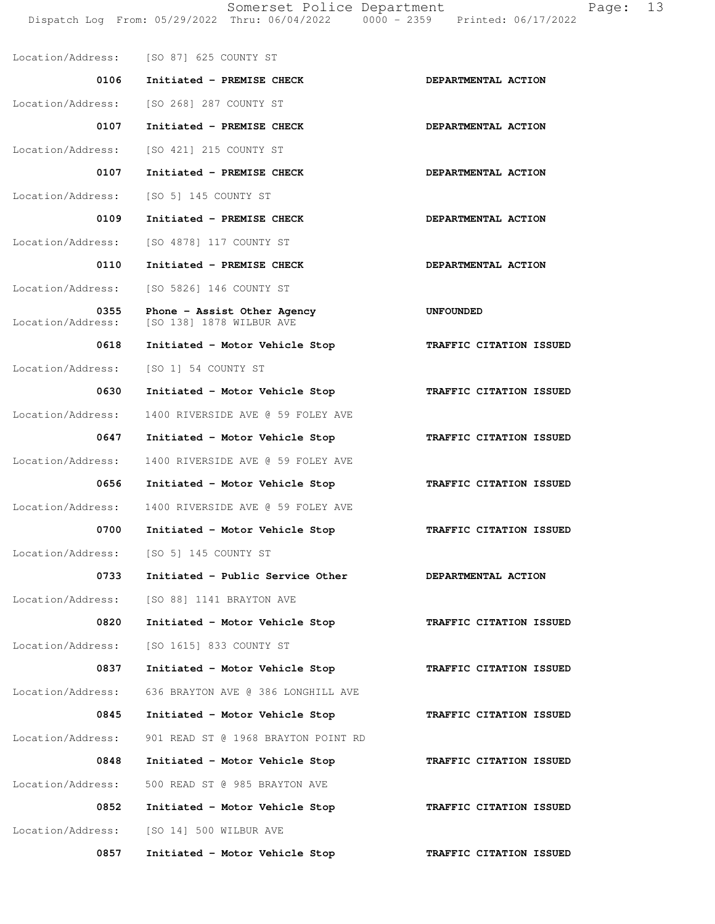Location/Address: [SO 87] 625 COUNTY ST 0106 Initiated - PREMISE CHECK **DEPARTMENTAL ACTION**  Location/Address: [SO 268] 287 COUNTY ST 0107 Initiated - PREMISE CHECK **DEPARTMENTAL ACTION**  Location/Address: [SO 421] 215 COUNTY ST 0107 Initiated - PREMISE CHECK **DEPARTMENTAL ACTION**  Location/Address: [SO 5] 145 COUNTY ST 0109 Initiated - PREMISE CHECK **DEPARTMENTAL ACTION** Location/Address: [SO 4878] 117 COUNTY ST 0110 Initiated - PREMISE CHECK **DEPARTMENTAL ACTION** Location/Address: [SO 5826] 146 COUNTY ST **0355 Phone - Assist Other Agency 61 UNFOUNDED** Location/Address: [SO 138] 1878 WILBUR AVE [SO 138] 1878 WILBUR AVE 0618 Initiated - Motor Vehicle Stop **TRAFFIC CITATION ISSUED** Location/Address: [SO 1] 54 COUNTY ST 0630 Initiated - Motor Vehicle Stop **TRAFFIC CITATION ISSUED**  Location/Address: 1400 RIVERSIDE AVE @ 59 FOLEY AVE  **0647 Initiated - Motor Vehicle Stop TRAFFIC CITATION ISSUED**  Location/Address: 1400 RIVERSIDE AVE @ 59 FOLEY AVE  **0656 Initiated - Motor Vehicle Stop TRAFFIC CITATION ISSUED**  Location/Address: 1400 RIVERSIDE AVE @ 59 FOLEY AVE  **0700 Initiated - Motor Vehicle Stop TRAFFIC CITATION ISSUED**  Location/Address: [SO 5] 145 COUNTY ST 0733 Initiated - Public Service Other **DEPARTMENTAL ACTION** Location/Address: [SO 88] 1141 BRAYTON AVE 0820 Initiated - Motor Vehicle Stop **TRAFFIC CITATION ISSUED** Location/Address: [SO 1615] 833 COUNTY ST 0837 Initiated - Motor Vehicle Stop **TRAFFIC CITATION ISSUED**  Location/Address: 636 BRAYTON AVE @ 386 LONGHILL AVE  **0845 Initiated - Motor Vehicle Stop TRAFFIC CITATION ISSUED**  Location/Address: 901 READ ST @ 1968 BRAYTON POINT RD  **0848 Initiated - Motor Vehicle Stop TRAFFIC CITATION ISSUED**  Location/Address: 500 READ ST @ 985 BRAYTON AVE 0852 Initiated - Motor Vehicle Stop **TRAFFIC CITATION ISSUED**  Location/Address: [SO 14] 500 WILBUR AVE 0857 Initiated - Motor Vehicle Stop **TRAFFIC CITATION ISSUED**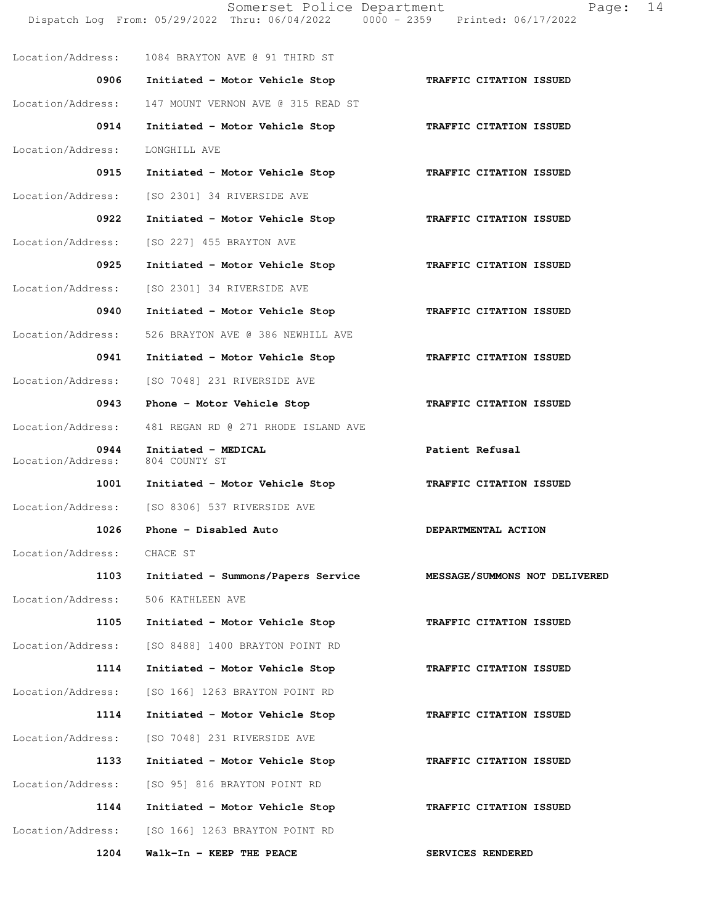Somerset Police Department Page: 14 Dispatch Log From: 05/29/2022 Thru: 06/04/2022 0000 - 2359 Printed: 06/17/2022 Location/Address: 1084 BRAYTON AVE @ 91 THIRD ST  **0906 Initiated - Motor Vehicle Stop TRAFFIC CITATION ISSUED**  Location/Address: 147 MOUNT VERNON AVE @ 315 READ ST  **0914 Initiated - Motor Vehicle Stop TRAFFIC CITATION ISSUED**  Location/Address: LONGHILL AVE 0915 Initiated - Motor Vehicle Stop **TRAFFIC CITATION ISSUED**  Location/Address: [SO 2301] 34 RIVERSIDE AVE  **0922 Initiated - Motor Vehicle Stop TRAFFIC CITATION ISSUED**  Location/Address: [SO 227] 455 BRAYTON AVE  **0925 Initiated - Motor Vehicle Stop TRAFFIC CITATION ISSUED**  Location/Address: [SO 2301] 34 RIVERSIDE AVE  **0940 Initiated - Motor Vehicle Stop TRAFFIC CITATION ISSUED**  Location/Address: 526 BRAYTON AVE @ 386 NEWHILL AVE  **0941 Initiated - Motor Vehicle Stop TRAFFIC CITATION ISSUED**  Location/Address: [SO 7048] 231 RIVERSIDE AVE 0943 Phone - Motor Vehicle Stop **TRAFFIC CITATION ISSUED**  Location/Address: 481 REGAN RD @ 271 RHODE ISLAND AVE 0944 Initiated - MEDICAL **Patient Refusal**  Location/Address: 804 COUNTY ST  **1001 Initiated - Motor Vehicle Stop TRAFFIC CITATION ISSUED**  Location/Address: [SO 8306] 537 RIVERSIDE AVE 1026 Phone - Disabled Auto **DEPARTMENTAL ACTION**  Location/Address: CHACE ST  **1103 Initiated - Summons/Papers Service MESSAGE/SUMMONS NOT DELIVERED** Location/Address: 506 KATHLEEN AVE  **1105 Initiated - Motor Vehicle Stop TRAFFIC CITATION ISSUED**  Location/Address: [SO 8488] 1400 BRAYTON POINT RD  **1114 Initiated - Motor Vehicle Stop TRAFFIC CITATION ISSUED**  Location/Address: [SO 166] 1263 BRAYTON POINT RD  **1114 Initiated - Motor Vehicle Stop TRAFFIC CITATION ISSUED**  Location/Address: [SO 7048] 231 RIVERSIDE AVE  **1133 Initiated - Motor Vehicle Stop TRAFFIC CITATION ISSUED**  Location/Address: [SO 95] 816 BRAYTON POINT RD  **1144 Initiated - Motor Vehicle Stop TRAFFIC CITATION ISSUED**  Location/Address: [SO 166] 1263 BRAYTON POINT RD 1204 Walk-In - KEEP THE PEACE **SERVICES RENDERED**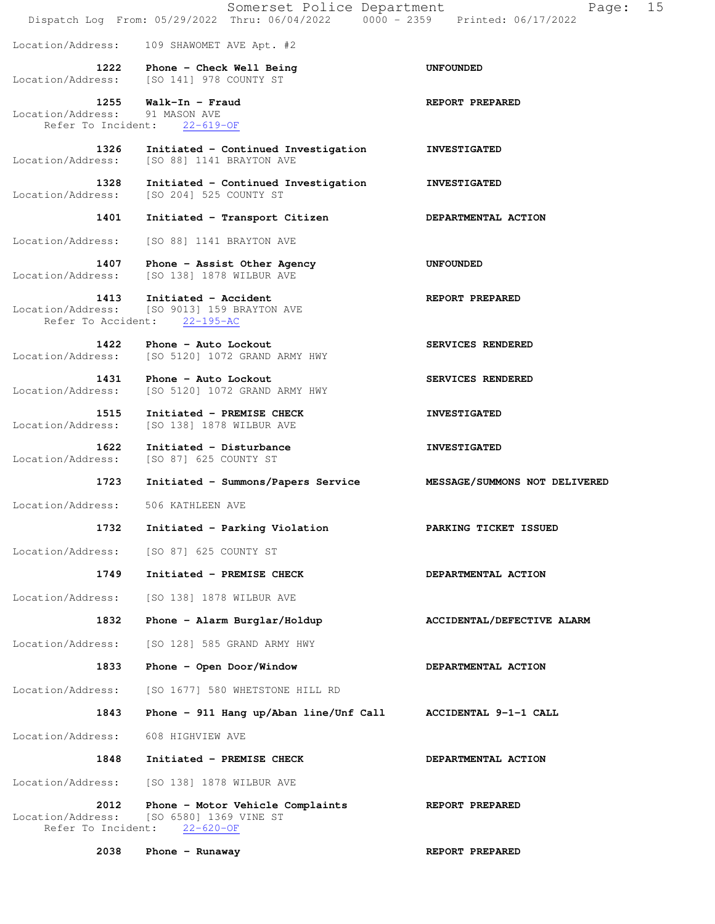|                                                 | Somerset Police Department<br>Dispatch Log From: 05/29/2022 Thru: 06/04/2022 0000 - 2359 Printed: 06/17/2022 | 15<br>Page:                   |
|-------------------------------------------------|--------------------------------------------------------------------------------------------------------------|-------------------------------|
| Location/Address:                               | 109 SHAWOMET AVE Apt. #2                                                                                     |                               |
| Location/Address:                               | 1222 Phone - Check Well Being<br>[SO 141] 978 COUNTY ST                                                      | <b>UNFOUNDED</b>              |
| 1255<br>Location/Address:<br>Refer To Incident: | Walk-In - Fraud<br>91 MASON AVE<br>$22 - 619 - OF$                                                           | REPORT PREPARED               |
| 1326<br>Location/Address:                       | Initiated - Continued Investigation<br>[SO 88] 1141 BRAYTON AVE                                              | <b>INVESTIGATED</b>           |
| 1328<br>Location/Address:                       | Initiated - Continued Investigation<br>[SO 204] 525 COUNTY ST                                                | <b>INVESTIGATED</b>           |
| 1401                                            | Initiated - Transport Citizen                                                                                | DEPARTMENTAL ACTION           |
| Location/Address:                               | [SO 88] 1141 BRAYTON AVE                                                                                     |                               |
| 1407<br>Location/Address:                       | Phone - Assist Other Agency<br>[SO 138] 1878 WILBUR AVE                                                      | UNFOUNDED                     |
| 1413<br>Location/Address:<br>Refer To Accident: | Initiated - Accident<br>[SO 9013] 159 BRAYTON AVE<br>$22 - 195 - AC$                                         | REPORT PREPARED               |
| 1422<br>Location/Address:                       | Phone - Auto Lockout<br>[SO 5120] 1072 GRAND ARMY HWY                                                        | SERVICES RENDERED             |
| 1431<br>Location/Address:                       | Phone - Auto Lockout<br>[SO 5120] 1072 GRAND ARMY HWY                                                        | SERVICES RENDERED             |
| 1515<br>Location/Address:                       | Initiated - PREMISE CHECK<br>[SO 138] 1878 WILBUR AVE                                                        | <b>INVESTIGATED</b>           |
| 1622<br>Location/Address:                       | Initiated - Disturbance<br>[SO 87] 625 COUNTY ST                                                             | <b>INVESTIGATED</b>           |
| 1723                                            | Initiated - Summons/Papers Service                                                                           | MESSAGE/SUMMONS NOT DELIVERED |
| Location/Address:                               | 506 KATHLEEN AVE                                                                                             |                               |
| 1732                                            | Initiated - Parking Violation                                                                                | PARKING TICKET ISSUED         |
| Location/Address:                               | [SO 87] 625 COUNTY ST                                                                                        |                               |
| 1749                                            | Initiated - PREMISE CHECK                                                                                    | DEPARTMENTAL ACTION           |
| Location/Address:                               | [SO 138] 1878 WILBUR AVE                                                                                     |                               |
| 1832                                            | Phone - Alarm Burglar/Holdup                                                                                 | ACCIDENTAL/DEFECTIVE ALARM    |
| Location/Address:                               | [SO 128] 585 GRAND ARMY HWY                                                                                  |                               |
| 1833                                            | Phone - Open Door/Window                                                                                     | DEPARTMENTAL ACTION           |
| Location/Address:                               | [SO 1677] 580 WHETSTONE HILL RD                                                                              |                               |
| 1843                                            | Phone - 911 Hang up/Aban line/Unf Call                                                                       | ACCIDENTAL 9-1-1 CALL         |
| Location/Address:                               | 608 HIGHVIEW AVE                                                                                             |                               |
| 1848                                            | Initiated - PREMISE CHECK                                                                                    | DEPARTMENTAL ACTION           |
| Location/Address:                               | [SO 138] 1878 WILBUR AVE                                                                                     |                               |
| 2012<br>Location/Address:<br>Refer To Incident: | Phone - Motor Vehicle Complaints<br>[SO 6580] 1369 VINE ST<br>$22 - 620 - OF$                                | REPORT PREPARED               |
| 2038                                            | Phone $-$ Runaway                                                                                            | REPORT PREPARED               |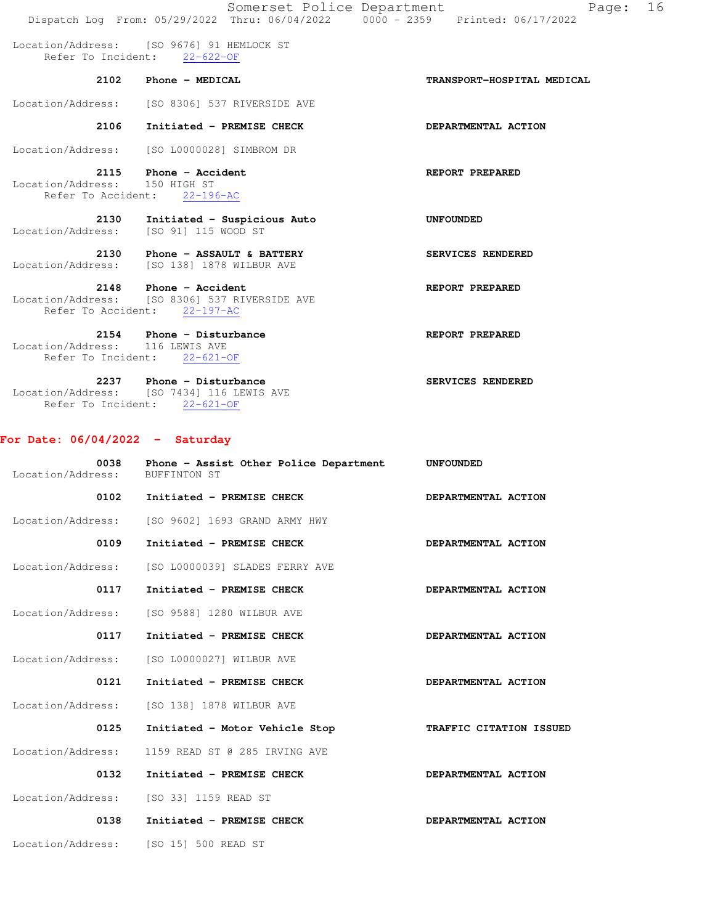|                                                               | Somerset Police Department                                                                  | Page:<br>Dispatch Log From: 05/29/2022 Thru: 06/04/2022 0000 - 2359 Printed: 06/17/2022 | 16 |
|---------------------------------------------------------------|---------------------------------------------------------------------------------------------|-----------------------------------------------------------------------------------------|----|
|                                                               | Location/Address: [SO 9676] 91 HEMLOCK ST<br>Refer To Incident: 22-622-OF                   |                                                                                         |    |
| 2102                                                          | Phone - MEDICAL                                                                             | TRANSPORT-HOSPITAL MEDICAL                                                              |    |
|                                                               | Location/Address: [SO 8306] 537 RIVERSIDE AVE                                               |                                                                                         |    |
| 2106                                                          | Initiated - PREMISE CHECK                                                                   | DEPARTMENTAL ACTION                                                                     |    |
|                                                               | Location/Address: [SO L0000028] SIMBROM DR                                                  |                                                                                         |    |
| Location/Address:                                             | 2115 Phone - Accident<br>150 HIGH ST<br>Refer To Accident: 22-196-AC                        | REPORT PREPARED                                                                         |    |
| 2130<br>Location/Address:                                     | Initiated - Suspicious Auto<br>[SO 91] 115 WOOD ST                                          | <b>UNFOUNDED</b>                                                                        |    |
|                                                               | 2130 Phone - ASSAULT & BATTERY<br>Location/Address: [SO 138] 1878 WILBUR AVE                | SERVICES RENDERED                                                                       |    |
| 2148<br>Refer To Accident:                                    | <b>Phone - Accident</b><br>Location/Address: [SO 8306] 537 RIVERSIDE AVE<br>$22 - 197 - AC$ | REPORT PREPARED                                                                         |    |
| 2154<br>Location/Address: 116 LEWIS AVE<br>Refer To Incident: | Phone - Disturbance<br>$22 - 621 - OF$                                                      | REPORT PREPARED                                                                         |    |
| 2237                                                          | Phone - Disturbance                                                                         | SERVICES RENDERED                                                                       |    |

 Location/Address: [SO 7434] 116 LEWIS AVE Refer To Incident: 22-621-OF

## **For Date: 06/04/2022 - Saturday**

| 0038<br>Location/Address: | Phone - Assist Other Police Department<br>BUFFINTON ST | <b>UNFOUNDED</b>        |
|---------------------------|--------------------------------------------------------|-------------------------|
| 0102                      | Initiated - PREMISE CHECK                              | DEPARTMENTAL ACTION     |
| Location/Address:         | [SO 9602] 1693 GRAND ARMY HWY                          |                         |
| 0109                      | Initiated - PREMISE CHECK                              | DEPARTMENTAL ACTION     |
| Location/Address:         | [SO L0000039] SLADES FERRY AVE                         |                         |
| 0117                      | Initiated - PREMISE CHECK                              | DEPARTMENTAL ACTION     |
| Location/Address:         | [SO 9588] 1280 WILBUR AVE                              |                         |
| 0117                      | Initiated - PREMISE CHECK                              | DEPARTMENTAL ACTION     |
| Location/Address:         | [SO L0000027] WILBUR AVE                               |                         |
| 0121                      | Initiated - PREMISE CHECK                              | DEPARTMENTAL ACTION     |
| Location/Address:         | [SO 138] 1878 WILBUR AVE                               |                         |
| 0125                      | Initiated - Motor Vehicle Stop                         | TRAFFIC CITATION ISSUED |
| Location/Address:         | 1159 READ ST @ 285 IRVING AVE                          |                         |
| 0132                      | Initiated - PREMISE CHECK                              | DEPARTMENTAL ACTION     |
| Location/Address:         | [SO 33] 1159 READ ST                                   |                         |
| 0138                      | Initiated - PREMISE CHECK                              | DEPARTMENTAL ACTION     |
| Location/Address:         | [SO 15] 500 READ ST                                    |                         |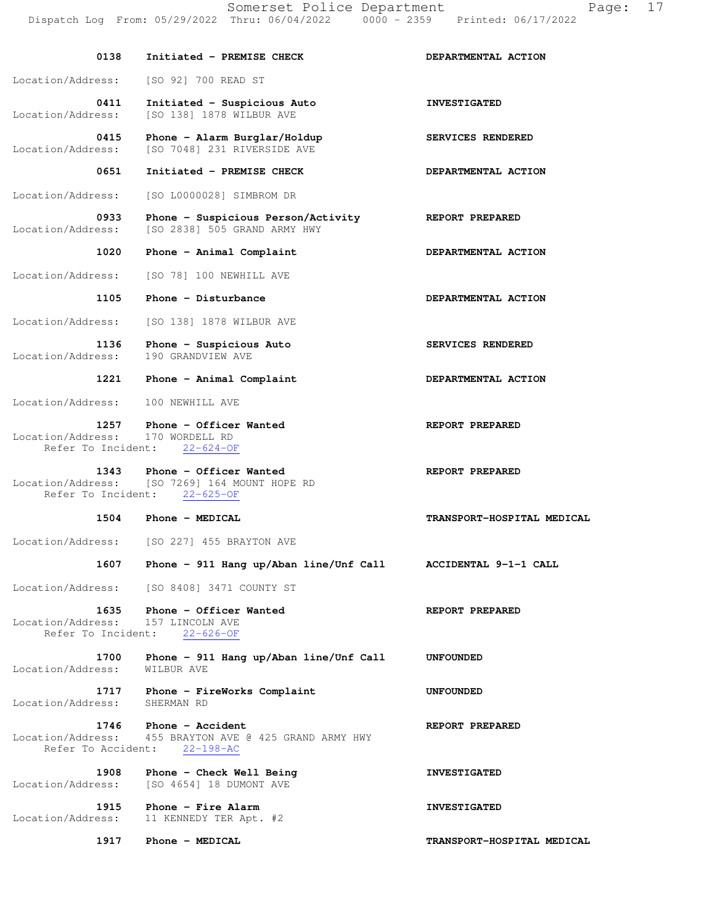| 0138                                            | Initiated - PREMISE CHECK                                                                                    | DEPARTMENTAL ACTION        |
|-------------------------------------------------|--------------------------------------------------------------------------------------------------------------|----------------------------|
| Location/Address:                               | [SO 92] 700 READ ST                                                                                          |                            |
| 0411<br>Location/Address:                       | Initiated - Suspicious Auto<br>[SO 138] 1878 WILBUR AVE                                                      | <b>INVESTIGATED</b>        |
| 0415<br>Location/Address:                       | Phone - Alarm Burglar/Holdup<br>[SO 7048] 231 RIVERSIDE AVE                                                  | SERVICES RENDERED          |
| 0651                                            | Initiated - PREMISE CHECK                                                                                    | DEPARTMENTAL ACTION        |
| Location/Address:                               | [SO L0000028] SIMBROM DR                                                                                     |                            |
| 0933<br>Location/Address:                       | Phone - Suspicious Person/Activity<br>[SO 2838] 505 GRAND ARMY HWY                                           | <b>REPORT PREPARED</b>     |
| 1020                                            | Phone - Animal Complaint                                                                                     | DEPARTMENTAL ACTION        |
| Location/Address:                               | [SO 78] 100 NEWHILL AVE                                                                                      |                            |
| 1105                                            | Phone - Disturbance                                                                                          | DEPARTMENTAL ACTION        |
| Location/Address:                               | [SO 138] 1878 WILBUR AVE                                                                                     |                            |
| 1136<br>Location/Address:                       | Phone - Suspicious Auto<br>190 GRANDVIEW AVE                                                                 | SERVICES RENDERED          |
| 1221                                            | Phone - Animal Complaint                                                                                     | DEPARTMENTAL ACTION        |
| Location/Address:                               | 100 NEWHILL AVE                                                                                              |                            |
| Location/Address: 170 WORDELL RD                | 1257 Phone - Officer Wanted<br>Refer To Incident: 22-624-OF                                                  | REPORT PREPARED            |
|                                                 | 1343 Phone - Officer Wanted<br>Location/Address: [SO 7269] 164 MOUNT HOPE RD<br>Refer To Incident: 22-625-OF | REPORT PREPARED            |
|                                                 | 1504 Phone - MEDICAL                                                                                         | TRANSPORT-HOSPITAL MEDICAL |
| Location/Address:                               | [SO 227] 455 BRAYTON AVE                                                                                     |                            |
| 1607                                            | Phone - 911 Hang up/Aban line/Unf Call                                                                       | ACCIDENTAL 9-1-1 CALL      |
|                                                 | Location/Address: [SO 8408] 3471 COUNTY ST                                                                   |                            |
| 1635<br>Location/Address:<br>Refer To Incident: | Phone - Officer Wanted<br>157 LINCOLN AVE<br>$22 - 626 - OF$                                                 | REPORT PREPARED            |
| 1700<br>Location/Address:                       | Phone - 911 Hang up/Aban line/Unf Call<br>WILBUR AVE                                                         | <b>UNFOUNDED</b>           |
| 1717<br>Location/Address:                       | Phone - FireWorks Complaint<br>SHERMAN RD                                                                    | <b>UNFOUNDED</b>           |
| Refer To Accident:                              | 1746 Phone - Accident<br>Location/Address: 455 BRAYTON AVE @ 425 GRAND ARMY HWY<br>$22 - 198 - AC$           | REPORT PREPARED            |
| 1908<br>Location/Address:                       | Phone - Check Well Being<br>[SO 4654] 18 DUMONT AVE                                                          | <b>INVESTIGATED</b>        |
| 1915<br>Location/Address:                       | Phone - Fire Alarm<br>11 KENNEDY TER Apt. #2                                                                 | <b>INVESTIGATED</b>        |
| 1917                                            | Phone - MEDICAL                                                                                              | TRANSPORT-HOSPITAL MEDICAL |